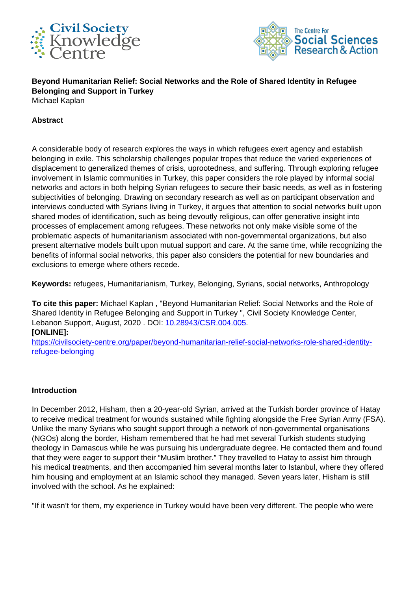



**Beyond Humanitarian Relief: Social Networks and the Role of Shared Identity in Refugee Belonging and Support in Turkey** Michael Kaplan

### **Abstract**

A considerable body of research explores the ways in which refugees exert agency and establish belonging in exile. This scholarship challenges popular tropes that reduce the varied experiences of displacement to generalized themes of crisis, uprootedness, and suffering. Through exploring refugee involvement in Islamic communities in Turkey, this paper considers the role played by informal social networks and actors in both helping Syrian refugees to secure their basic needs, as well as in fostering subjectivities of belonging. Drawing on secondary research as well as on participant observation and interviews conducted with Syrians living in Turkey, it argues that attention to social networks built upon shared modes of identification, such as being devoutly religious, can offer generative insight into processes of emplacement among refugees. These networks not only make visible some of the problematic aspects of humanitarianism associated with non-governmental organizations, but also present alternative models built upon mutual support and care. At the same time, while recognizing the benefits of informal social networks, this paper also considers the potential for new boundaries and exclusions to emerge where others recede.

**Keywords:** refugees, Humanitarianism, Turkey, Belonging, Syrians, social networks, Anthropology

**To cite this paper:** Michael Kaplan , "Beyond Humanitarian Relief: Social Networks and the Role of Shared Identity in Refugee Belonging and Support in Turkey ", Civil Society Knowledge Center, Lebanon Support, August, 2020 . DOI: [10.28943/CSR.004.005](https://doi.org/10.28943/CSR.004.005). **[ONLINE]:**

[https://civilsociety-centre.org/paper/beyond-humanitarian-relief-social-networks-role-shared-identity](https://civilsociety-centre.org/paper/beyond-humanitarian-relief-social-networks-role-shared-identity-refugee-belonging)[refugee-belonging](https://civilsociety-centre.org/paper/beyond-humanitarian-relief-social-networks-role-shared-identity-refugee-belonging)

#### **Introduction**

In December 2012, Hisham, then a 20-year-old Syrian, arrived at the Turkish border province of Hatay to receive medical treatment for wounds sustained while fighting alongside the Free Syrian Army (FSA). Unlike the many Syrians who sought support through a network of non-governmental organisations (NGOs) along the border, Hisham remembered that he had met several Turkish students studying theology in Damascus while he was pursuing his undergraduate degree. He contacted them and found that they were eager to support their "Muslim brother." They travelled to Hatay to assist him through his medical treatments, and then accompanied him several months later to Istanbul, where they offered him housing and employment at an Islamic school they managed. Seven years later, Hisham is still involved with the school. As he explained:

"If it wasn't for them, my experience in Turkey would have been very different. The people who were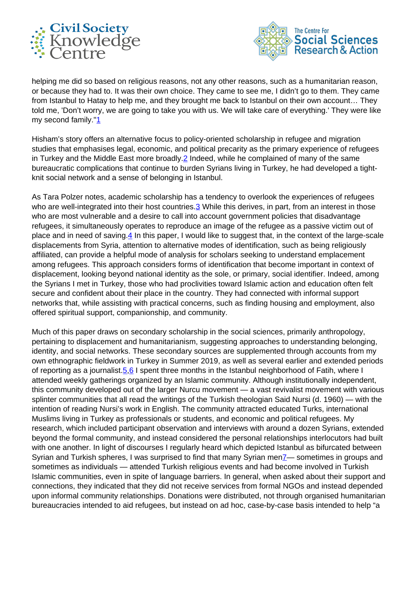



helping me did so based on religious reasons, not any other reasons, such as a humanitarian reason, or because they had to. It was their own choice. They came to see me, I didn't go to them. They came from Istanbul to Hatay to help me, and they brought me back to Istanbul on their own account… They told me, 'Don't worry, we are going to take you with us. We will take care of everything.' They were like my second family."1

Hisham's story offers an alternative focus to policy-oriented scholarship in refugee and migration studies that emphasises legal, economic, and political precarity as the primary experience of refugees in Turkey and the Middle East more broadly.2 Indeed, while he complained of many of the same bureaucratic complications that continue to burden Syrians living in Turkey, he had developed a tightknit social network and a sense of belonging in Istanbul.

As Tara Polzer notes, academic scholarship has a tendency to overlook the experiences of refugees who are well-integrated into their host countries. 3 While this derives, in part, from an interest in those who are most vulnerable and a desire to call into account government policies that disadvantage refugees, it simultaneously operates to reproduce an image of the refugee as a passive victim out of place and in need of saving.4 In this paper, I would like to suggest that, in the context of the large-scale displacements from Syria, attention to alternative modes of identification, such as being religiously affiliated, can provide a helpful mode of analysis for scholars seeking to understand emplacement among refugees. This approach considers forms of identification that become important in context of displacement, looking beyond national identity as the sole, or primary, social identifier. Indeed, among the Syrians I met in Turkey, those who had proclivities toward Islamic action and education often felt secure and confident about their place in the country. They had connected with informal support networks that, while assisting with practical concerns, such as finding housing and employment, also offered spiritual support, companionship, and community.

Much of this paper draws on secondary scholarship in the social sciences, primarily anthropology, pertaining to displacement and humanitarianism, suggesting approaches to understanding belonging, identity, and social networks. These secondary sources are supplemented through accounts from my own ethnographic fieldwork in Turkey in Summer 2019, as well as several earlier and extended periods of reporting as a journalist. $5,6$  I spent three months in the Istanbul neighborhood of Fatih, where I attended weekly gatherings organized by an Islamic community. Although institutionally independent, this community developed out of the larger Nurcu movement — a vast revivalist movement with various splinter communities that all read the writings of the Turkish theologian Said Nursi (d. 1960) — with the intention of reading Nursi's work in English. The community attracted educated Turks, international Muslims living in Turkey as professionals or students, and economic and political refugees. My research, which included participant observation and interviews with around a dozen Syrians, extended beyond the formal community, and instead considered the personal relationships interlocutors had built with one another. In light of discourses I regularly heard which depicted Istanbul as bifurcated between Syrian and Turkish spheres, I was surprised to find that many Syrian men<sup>7</sup>— sometimes in groups and sometimes as individuals — attended Turkish religious events and had become involved in Turkish Islamic communities, even in spite of language barriers. In general, when asked about their support and connections, they indicated that they did not receive services from formal NGOs and instead depended upon informal community relationships. Donations were distributed, not through organised humanitarian bureaucracies intended to aid refugees, but instead on ad hoc, case-by-case basis intended to help "a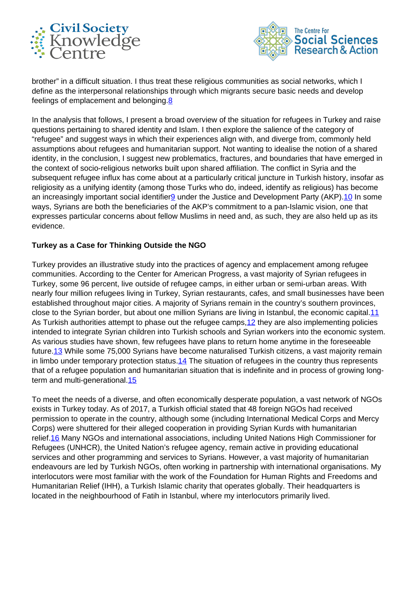



brother" in a difficult situation. I thus treat these religious communities as social networks, which I define as the interpersonal relationships through which migrants secure basic needs and develop feelings of emplacement and belonging.<sup>8</sup>

In the analysis that follows, I present a broad overview of the situation for refugees in Turkey and raise questions pertaining to shared identity and Islam. I then explore the salience of the category of "refugee" and suggest ways in which their experiences align with, and diverge from, commonly held assumptions about refugees and humanitarian support. Not wanting to idealise the notion of a shared identity, in the conclusion, I suggest new problematics, fractures, and boundaries that have emerged in the context of socio-religious networks built upon shared affiliation. The conflict in Syria and the subsequent refugee influx has come about at a particularly critical juncture in Turkish history, insofar as religiosity as a unifying identity (among those Turks who do, indeed, identify as religious) has become an increasingly important social identifier<sup>9</sup> under the Justice and Development Party (AKP).<sup>10</sup> In some ways, Syrians are both the beneficiaries of the AKP's commitment to a pan-Islamic vision, one that expresses particular concerns about fellow Muslims in need and, as such, they are also held up as its evidence.

# **Turkey as a Case for Thinking Outside the NGO**

Turkey provides an illustrative study into the practices of agency and emplacement among refugee communities. According to the Center for American Progress, a vast majority of Syrian refugees in Turkey, some 96 percent, live outside of refugee camps, in either urban or semi-urban areas. With nearly four million refugees living in Turkey, Syrian restaurants, cafes, and small businesses have been established throughout major cities. A majority of Syrians remain in the country's southern provinces, close to the Syrian border, but about one million Syrians are living in Istanbul, the economic capital. 11 As Turkish authorities attempt to phase out the refugee camps, 12 they are also implementing policies intended to integrate Syrian children into Turkish schools and Syrian workers into the economic system. As various studies have shown, few refugees have plans to return home anytime in the foreseeable future. 13 While some 75,000 Syrians have become naturalised Turkish citizens, a vast majority remain in limbo under temporary protection status.<sup>14</sup> The situation of refugees in the country thus represents that of a refugee population and humanitarian situation that is indefinite and in process of growing longterm and multi-generational.<sup>15</sup>

To meet the needs of a diverse, and often economically desperate population, a vast network of NGOs exists in Turkey today. As of 2017, a Turkish official stated that 48 foreign NGOs had received permission to operate in the country, although some (including International Medical Corps and Mercy Corps) were shuttered for their alleged cooperation in providing Syrian Kurds with humanitarian relief.16 Many NGOs and international associations, including United Nations High Commissioner for Refugees (UNHCR), the United Nation's refugee agency, remain active in providing educational services and other programming and services to Syrians. However, a vast majority of humanitarian endeavours are led by Turkish NGOs, often working in partnership with international organisations. My interlocutors were most familiar with the work of the Foundation for Human Rights and Freedoms and Humanitarian Relief (IHH), a Turkish Islamic charity that operates globally. Their headquarters is located in the neighbourhood of Fatih in Istanbul, where my interlocutors primarily lived.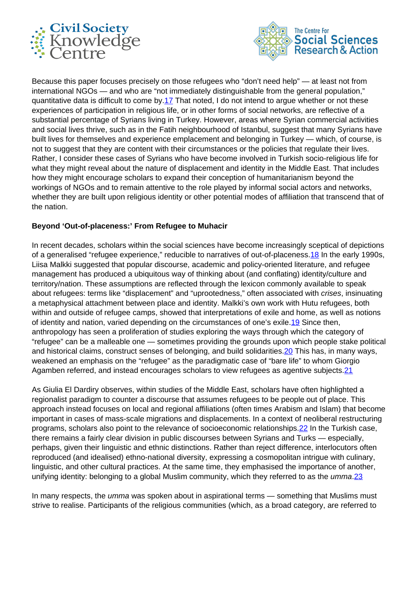



Because this paper focuses precisely on those refugees who "don't need help" — at least not from international NGOs — and who are "not immediately distinguishable from the general population," quantitative data is difficult to come by.17 That noted, I do not intend to argue whether or not these experiences of participation in religious life, or in other forms of social networks, are reflective of a substantial percentage of Syrians living in Turkey. However, areas where Syrian commercial activities and social lives thrive, such as in the Fatih neighbourhood of Istanbul, suggest that many Syrians have built lives for themselves and experience emplacement and belonging in Turkey — which, of course, is not to suggest that they are content with their circumstances or the policies that regulate their lives. Rather, I consider these cases of Syrians who have become involved in Turkish socio-religious life for what they might reveal about the nature of displacement and identity in the Middle East. That includes how they might encourage scholars to expand their conception of humanitarianism beyond the workings of NGOs and to remain attentive to the role played by informal social actors and networks, whether they are built upon religious identity or other potential modes of affiliation that transcend that of the nation.

## **Beyond 'Out-of-placeness:' From Refugee to Muhacir**

In recent decades, scholars within the social sciences have become increasingly sceptical of depictions of a generalised "refugee experience," reducible to narratives of out-of-placeness. 18 In the early 1990s, Liisa Malkki suggested that popular discourse, academic and policy-oriented literature, and refugee management has produced a ubiquitous way of thinking about (and conflating) identity/culture and territory/nation. These assumptions are reflected through the lexicon commonly available to speak about refugees: terms like "displacement" and "uprootedness," often associated with *crises*, insinuating a metaphysical attachment between place and identity. Malkki's own work with Hutu refugees, both within and outside of refugee camps, showed that interpretations of exile and home, as well as notions of identity and nation, varied depending on the circumstances of one's exile. 19 Since then, anthropology has seen a proliferation of studies exploring the ways through which the category of "refugee" can be a malleable one — sometimes providing the grounds upon which people stake political and historical claims, construct senses of belonging, and build solidarities. 20 This has, in many ways, weakened an emphasis on the "refugee" as the paradigmatic case of "bare life" to whom Giorgio Agamben referred, and instead encourages scholars to view refugees as agentive subjects.<sup>21</sup>

As Giulia El Dardiry observes, within studies of the Middle East, scholars have often highlighted a regionalist paradigm to counter a discourse that assumes refugees to be people out of place. This approach instead focuses on local and regional affiliations (often times Arabism and Islam) that become important in cases of mass-scale migrations and displacements. In a context of neoliberal restructuring programs, scholars also point to the relevance of socioeconomic relationships.<sup>22</sup> In the Turkish case, there remains a fairly clear division in public discourses between Syrians and Turks — especially, perhaps, given their linguistic and ethnic distinctions. Rather than reject difference, interlocutors often reproduced (and idealised) ethno-national diversity, expressing a cosmopolitan intrigue with culinary, linguistic, and other cultural practices. At the same time, they emphasised the importance of another, unifying identity: belonging to a global Muslim community, which they referred to as the *umma.* 23

In many respects, the *umma* was spoken about in aspirational terms - something that Muslims must strive to realise. Participants of the religious communities (which, as a broad category, are referred to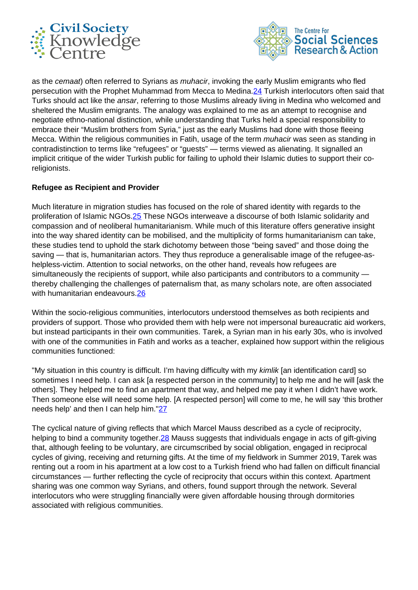



as the cemaat) often referred to Syrians as *muhacir*, invoking the early Muslim emigrants who fled persecution with the Prophet Muhammad from Mecca to Medina.24 Turkish interlocutors often said that Turks should act like the ansar, referring to those Muslims already living in Medina who welcomed and sheltered the Muslim emigrants. The analogy was explained to me as an attempt to recognise and negotiate ethno-national distinction, while understanding that Turks held a special responsibility to embrace their "Muslim brothers from Syria," just as the early Muslims had done with those fleeing Mecca. Within the religious communities in Fatih, usage of the term *muhacir* was seen as standing in contradistinction to terms like "refugees" or "guests" — terms viewed as alienating. It signalled an implicit critique of the wider Turkish public for failing to uphold their Islamic duties to support their coreligionists.

## **Refugee as Recipient and Provider**

Much literature in migration studies has focused on the role of shared identity with regards to the proliferation of Islamic NGOs.25 These NGOs interweave a discourse of both Islamic solidarity and compassion and of neoliberal humanitarianism. While much of this literature offers generative insight into the way shared identity can be mobilised, and the multiplicity of forms humanitarianism can take, these studies tend to uphold the stark dichotomy between those "being saved" and those doing the saving — that is, humanitarian actors. They thus reproduce a generalisable image of the refugee-ashelpless-victim. Attention to social networks, on the other hand, reveals how refugees are simultaneously the recipients of support, while also participants and contributors to a community thereby challenging the challenges of paternalism that, as many scholars note, are often associated with humanitarian endeavours.<sup>26</sup>

Within the socio-religious communities, interlocutors understood themselves as both recipients and providers of support. Those who provided them with help were not impersonal bureaucratic aid workers, but instead participants in their own communities. Tarek, a Syrian man in his early 30s, who is involved with one of the communities in Fatih and works as a teacher, explained how support within the religious communities functioned:

"My situation in this country is difficult. I'm having difficulty with my kimlik [an identification card] so sometimes I need help. I can ask [a respected person in the community] to help me and he will [ask the others]. They helped me to find an apartment that way, and helped me pay it when I didn't have work. Then someone else will need some help. [A respected person] will come to me, he will say 'this brother needs help' and then I can help him."27

The cyclical nature of giving reflects that which Marcel Mauss described as a cycle of reciprocity, helping to bind a community together. 28 Mauss suggests that individuals engage in acts of gift-giving that, although feeling to be voluntary, are circumscribed by social obligation, engaged in reciprocal cycles of giving, receiving and returning gifts. At the time of my fieldwork in Summer 2019, Tarek was renting out a room in his apartment at a low cost to a Turkish friend who had fallen on difficult financial circumstances — further reflecting the cycle of reciprocity that occurs within this context. Apartment sharing was one common way Syrians, and others, found support through the network. Several interlocutors who were struggling financially were given affordable housing through dormitories associated with religious communities.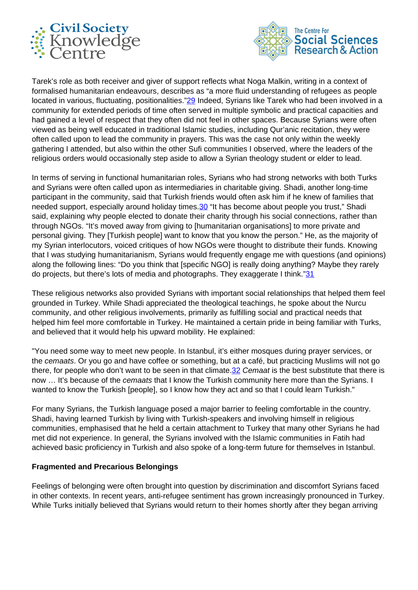



Tarek's role as both receiver and giver of support reflects what Noga Malkin, writing in a context of formalised humanitarian endeavours, describes as "a more fluid understanding of refugees as people located in various, fluctuating, positionalities."29 Indeed, Syrians like Tarek who had been involved in a community for extended periods of time often served in multiple symbolic and practical capacities and had gained a level of respect that they often did not feel in other spaces. Because Syrians were often viewed as being well educated in traditional Islamic studies, including Qur'anic recitation, they were often called upon to lead the community in prayers. This was the case not only within the weekly gathering I attended, but also within the other Sufi communities I observed, where the leaders of the religious orders would occasionally step aside to allow a Syrian theology student or elder to lead.

In terms of serving in functional humanitarian roles, Syrians who had strong networks with both Turks and Syrians were often called upon as intermediaries in charitable giving. Shadi, another long-time participant in the community, said that Turkish friends would often ask him if he knew of families that needed support, especially around holiday times. 30 "It has become about people you trust," Shadi said, explaining why people elected to donate their charity through his social connections, rather than through NGOs. "It's moved away from giving to [humanitarian organisations] to more private and personal giving. They [Turkish people] want to know that you know the person." He, as the majority of my Syrian interlocutors, voiced critiques of how NGOs were thought to distribute their funds. Knowing that I was studying humanitarianism, Syrians would frequently engage me with questions (and opinions) along the following lines: "Do you think that [specific NGO] is really doing anything? Maybe they rarely do projects, but there's lots of media and photographs. They exaggerate I think."31

These religious networks also provided Syrians with important social relationships that helped them feel grounded in Turkey. While Shadi appreciated the theological teachings, he spoke about the Nurcu community, and other religious involvements, primarily as fulfilling social and practical needs that helped him feel more comfortable in Turkey. He maintained a certain pride in being familiar with Turks, and believed that it would help his upward mobility. He explained:

"You need some way to meet new people. In Istanbul, it's either mosques during prayer services, or the cemaats. Or you go and have coffee or something, but at a café, but practicing Muslims will not go there, for people who don't want to be seen in that climate. 32 Cemaat is the best substitute that there is now ... It's because of the cemaats that I know the Turkish community here more than the Syrians. I wanted to know the Turkish [people], so I know how they act and so that I could learn Turkish."

For many Syrians, the Turkish language posed a major barrier to feeling comfortable in the country. Shadi, having learned Turkish by living with Turkish-speakers and involving himself in religious communities, emphasised that he held a certain attachment to Turkey that many other Syrians he had met did not experience. In general, the Syrians involved with the Islamic communities in Fatih had achieved basic proficiency in Turkish and also spoke of a long-term future for themselves in Istanbul.

#### **Fragmented and Precarious Belongings**

Feelings of belonging were often brought into question by discrimination and discomfort Syrians faced in other contexts. In recent years, anti-refugee sentiment has grown increasingly pronounced in Turkey. While Turks initially believed that Syrians would return to their homes shortly after they began arriving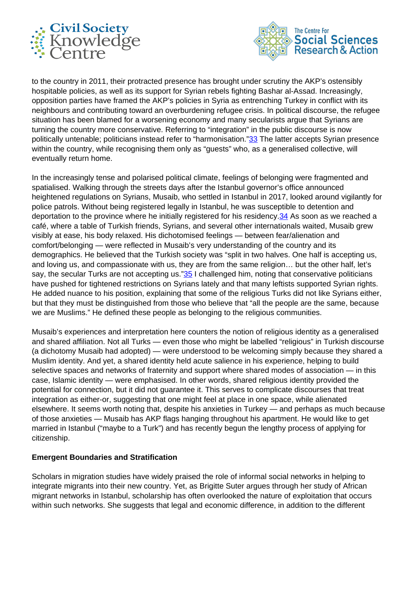



to the country in 2011, their protracted presence has brought under scrutiny the AKP's ostensibly hospitable policies, as well as its support for Syrian rebels fighting Bashar al-Assad. Increasingly, opposition parties have framed the AKP's policies in Syria as entrenching Turkey in conflict with its neighbours and contributing toward an overburdening refugee crisis. In political discourse, the refugee situation has been blamed for a worsening economy and many secularists argue that Syrians are turning the country more conservative. Referring to "integration" in the public discourse is now politically untenable; politicians instead refer to "harmonisation."33 The latter accepts Syrian presence within the country, while recognising them only as "guests" who, as a generalised collective, will eventually return home.

In the increasingly tense and polarised political climate, feelings of belonging were fragmented and spatialised. Walking through the streets days after the Istanbul governor's office announced heightened regulations on Syrians, Musaib, who settled in Istanbul in 2017, looked around vigilantly for police patrols. Without being registered legally in Istanbul, he was susceptible to detention and deportation to the province where he initially registered for his residency.<sup>34</sup> As soon as we reached a café, where a table of Turkish friends, Syrians, and several other internationals waited, Musaib grew visibly at ease, his body relaxed. His dichotomised feelings — between fear/alienation and comfort/belonging — were reflected in Musaib's very understanding of the country and its demographics. He believed that the Turkish society was "split in two halves. One half is accepting us, and loving us, and compassionate with us, they are from the same religion… but the other half, let's say, the secular Turks are not accepting us."35 I challenged him, noting that conservative politicians have pushed for tightened restrictions on Syrians lately and that many leftists supported Syrian rights. He added nuance to his position, explaining that some of the religious Turks did not like Syrians either, but that they must be distinguished from those who believe that "all the people are the same, because we are Muslims." He defined these people as belonging to the religious communities.

Musaib's experiences and interpretation here counters the notion of religious identity as a generalised and shared affiliation. Not all Turks — even those who might be labelled "religious" in Turkish discourse (a dichotomy Musaib had adopted) — were understood to be welcoming simply because they shared a Muslim identity. And yet, a shared identity held acute salience in his experience, helping to build selective spaces and networks of fraternity and support where shared modes of association — in this case, Islamic identity — were emphasised. In other words, shared religious identity provided the potential for connection, but it did not guarantee it. This serves to complicate discourses that treat integration as either-or, suggesting that one might feel at place in one space, while alienated elsewhere. It seems worth noting that, despite his anxieties in Turkey — and perhaps as much because of those anxieties — Musaib has AKP flags hanging throughout his apartment. He would like to get married in Istanbul ("maybe to a Turk") and has recently begun the lengthy process of applying for citizenship.

#### **Emergent Boundaries and Stratification**

Scholars in migration studies have widely praised the role of informal social networks in helping to integrate migrants into their new country. Yet, as Brigitte Suter argues through her study of African migrant networks in Istanbul, scholarship has often overlooked the nature of exploitation that occurs within such networks. She suggests that legal and economic difference, in addition to the different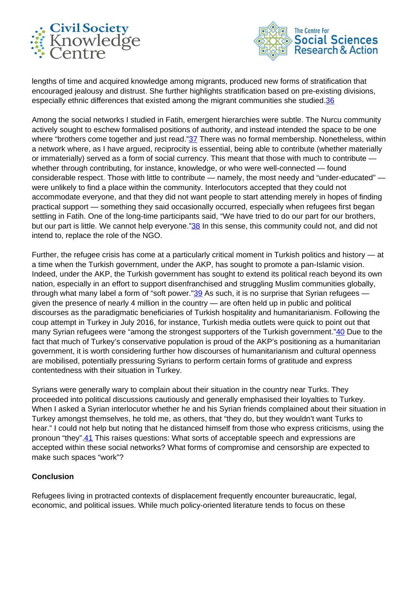



lengths of time and acquired knowledge among migrants, produced new forms of stratification that encouraged jealousy and distrust. She further highlights stratification based on pre-existing divisions, especially ethnic differences that existed among the migrant communities she studied.<sup>36</sup>

Among the social networks I studied in Fatih, emergent hierarchies were subtle. The Nurcu community actively sought to eschew formalised positions of authority, and instead intended the space to be one where "brothers come together and just read."37 There was no formal membership. Nonetheless, within a network where, as I have argued, reciprocity is essential, being able to contribute (whether materially or immaterially) served as a form of social currency. This meant that those with much to contribute whether through contributing, for instance, knowledge, or who were well-connected — found considerable respect. Those with little to contribute — namely, the most needy and "under-educated" were unlikely to find a place within the community. Interlocutors accepted that they could not accommodate everyone, and that they did not want people to start attending merely in hopes of finding practical support — something they said occasionally occurred, especially when refugees first began settling in Fatih. One of the long-time participants said, "We have tried to do our part for our brothers, but our part is little. We cannot help everyone."38 In this sense, this community could not, and did not intend to, replace the role of the NGO.

Further, the refugee crisis has come at a particularly critical moment in Turkish politics and history — at a time when the Turkish government, under the AKP, has sought to promote a pan-Islamic vision. Indeed, under the AKP, the Turkish government has sought to extend its political reach beyond its own nation, especially in an effort to support disenfranchised and struggling Muslim communities globally, through what many label a form of "soft power." $39$  As such, it is no surprise that Syrian refugees given the presence of nearly 4 million in the country — are often held up in public and political discourses as the paradigmatic beneficiaries of Turkish hospitality and humanitarianism. Following the coup attempt in Turkey in July 2016, for instance, Turkish media outlets were quick to point out that many Syrian refugees were "among the strongest supporters of the Turkish government."40 Due to the fact that much of Turkey's conservative population is proud of the AKP's positioning as a humanitarian government, it is worth considering further how discourses of humanitarianism and cultural openness are mobilised, potentially pressuring Syrians to perform certain forms of gratitude and express contentedness with their situation in Turkey.

Syrians were generally wary to complain about their situation in the country near Turks. They proceeded into political discussions cautiously and generally emphasised their loyalties to Turkey. When I asked a Syrian interlocutor whether he and his Syrian friends complained about their situation in Turkey amongst themselves, he told me, as others, that "they do, but they wouldn't want Turks to hear." I could not help but noting that he distanced himself from those who express criticisms, using the pronoun "they".41 This raises questions: What sorts of acceptable speech and expressions are accepted within these social networks? What forms of compromise and censorship are expected to make such spaces "work"?

#### **Conclusion**

Refugees living in protracted contexts of displacement frequently encounter bureaucratic, legal, economic, and political issues. While much policy-oriented literature tends to focus on these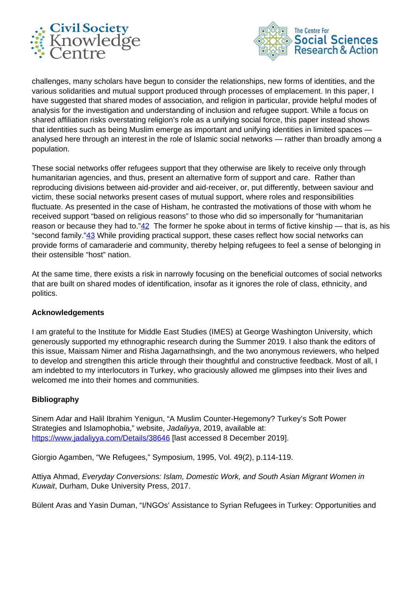



challenges, many scholars have begun to consider the relationships, new forms of identities, and the various solidarities and mutual support produced through processes of emplacement. In this paper, I have suggested that shared modes of association, and religion in particular, provide helpful modes of analysis for the investigation and understanding of inclusion and refugee support. While a focus on shared affiliation risks overstating religion's role as a unifying social force, this paper instead shows that identities such as being Muslim emerge as important and unifying identities in limited spaces analysed here through an interest in the role of Islamic social networks — rather than broadly among a population.

These social networks offer refugees support that they otherwise are likely to receive only through humanitarian agencies, and thus, present an alternative form of support and care. Rather than reproducing divisions between aid-provider and aid-receiver, or, put differently, between saviour and victim, these social networks present cases of mutual support, where roles and responsibilities fluctuate. As presented in the case of Hisham, he contrasted the motivations of those with whom he received support "based on religious reasons" to those who did so impersonally for "humanitarian reason or because they had to." $\frac{42}{1}$  The former he spoke about in terms of fictive kinship — that is, as his "second family."43 While providing practical support, these cases reflect how social networks can provide forms of camaraderie and community, thereby helping refugees to feel a sense of belonging in their ostensible "host" nation.

At the same time, there exists a risk in narrowly focusing on the beneficial outcomes of social networks that are built on shared modes of identification, insofar as it ignores the role of class, ethnicity, and politics.

#### **Acknowledgements**

I am grateful to the Institute for Middle East Studies (IMES) at George Washington University, which generously supported my ethnographic research during the Summer 2019. I also thank the editors of this issue, Maissam Nimer and Risha Jagarnathsingh, and the two anonymous reviewers, who helped to develop and strengthen this article through their thoughtful and constructive feedback. Most of all, I am indebted to my interlocutors in Turkey, who graciously allowed me glimpses into their lives and welcomed me into their homes and communities.

#### **Bibliography**

Sinem Adar and Halil Ibrahim Yenigun, "A Muslim Counter-Hegemony? Turkey's Soft Power Strategies and Islamophobia," website, Jadaliyya, 2019, available at: <https://www.jadaliyya.com/Details/38646> [last accessed 8 December 2019].

Giorgio Agamben, "We Refugees," Symposium, 1995, Vol. 49(2), p.114-119.

Attiya Ahmad, Everyday Conversions: Islam, Domestic Work, and South Asian Migrant Women in Kuwait, Durham, Duke University Press, 2017.

Bülent Aras and Yasin Duman, "I/NGOs' Assistance to Syrian Refugees in Turkey: Opportunities and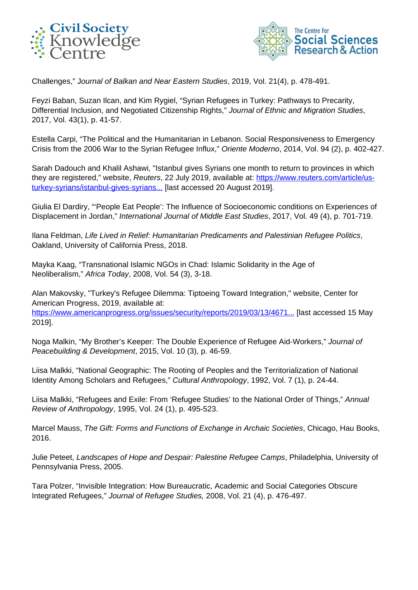



Challenges," Journal of Balkan and Near Eastern Studies, 2019, Vol. 21(4), p. 478-491.

Feyzi Baban, Suzan Ilcan, and Kim Rygiel, "Syrian Refugees in Turkey: Pathways to Precarity, Differential Inclusion, and Negotiated Citizenship Rights," Journal of Ethnic and Migration Studies, 2017, Vol. 43(1), p. 41-57.

Estella Carpi, "The Political and the Humanitarian in Lebanon. Social Responsiveness to Emergency Crisis from the 2006 War to the Syrian Refugee Influx," Oriente Moderno, 2014, Vol. 94 (2), p. 402-427.

Sarah Dadouch and Khalil Ashawi, "Istanbul gives Syrians one month to return to provinces in which they are registered," website, Reuters, 22 July 2019, available at: [https://www.reuters.com/article/us](https://www.reuters.com/article/us-turkey-syrians/istanbul-gives-syrians-one-month-to-return-to-provinces-in-which-they-are-registered-idUSKCN1UH1Y6)[turkey-syrians/istanbul-gives-syrians...](https://www.reuters.com/article/us-turkey-syrians/istanbul-gives-syrians-one-month-to-return-to-provinces-in-which-they-are-registered-idUSKCN1UH1Y6) [last accessed 20 August 2019].

Giulia El Dardiry, "'People Eat People': The Influence of Socioeconomic conditions on Experiences of Displacement in Jordan," International Journal of Middle East Studies, 2017, Vol. 49 (4), p. 701-719.

Ilana Feldman, Life Lived in Relief: Humanitarian Predicaments and Palestinian Refugee Politics, Oakland, University of California Press, 2018.

Mayka Kaag, "Transnational Islamic NGOs in Chad: Islamic Solidarity in the Age of Neoliberalism," Africa Today, 2008, Vol. 54 (3), 3-18.

Alan Makovsky, "Turkey's Refugee Dilemma: Tiptoeing Toward Integration," website, Center for American Progress, 2019, available at: [https://www.americanprogress.org/issues/security/reports/2019/03/13/4671...](https://www.americanprogress.org/issues/security/reports/2019/03/13/467183/turkeys-refugee-dilemma) [last accessed 15 May 2019].

Noga Malkin, "My Brother's Keeper: The Double Experience of Refugee Aid-Workers," Journal of Peacebuilding & Development, 2015, Vol. 10 (3), p. 46-59.

Liisa Malkki, "National Geographic: The Rooting of Peoples and the Territorialization of National Identity Among Scholars and Refugees," Cultural Anthropology, 1992, Vol. 7 (1), p. 24-44.

Liisa Malkki, "Refugees and Exile: From 'Refugee Studies' to the National Order of Things," Annual Review of Anthropology, 1995, Vol. 24 (1), p. 495-523.

Marcel Mauss, The Gift: Forms and Functions of Exchange in Archaic Societies, Chicago, Hau Books, 2016.

Julie Peteet, Landscapes of Hope and Despair: Palestine Refugee Camps, Philadelphia, University of Pennsylvania Press, 2005.

Tara Polzer, "Invisible Integration: How Bureaucratic, Academic and Social Categories Obscure Integrated Refugees," Journal of Refugee Studies, 2008, Vol. 21 (4), p. 476-497.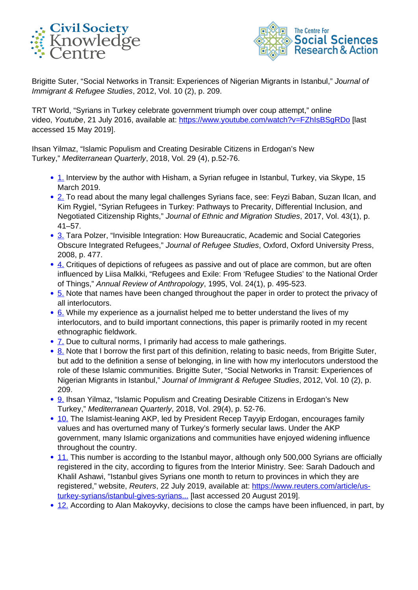



Brigitte Suter, "Social Networks in Transit: Experiences of Nigerian Migrants in Istanbul," Journal of Immigrant & Refugee Studies, 2012, Vol. 10 (2), p. 209.

TRT World, "Syrians in Turkey celebrate government triumph over coup attempt," online video, Youtube, 21 July 2016, available at: https://www.youtube.com/watch?v=FZhIsBSqRDo [last accessed 15 May 2019].

Ihsan Yilmaz, "Islamic Populism and Creating Desirable Citizens in Erdogan's New Turkey," Mediterranean Quarterly, 2018, Vol. 29 (4), p.52-76.

- 1. Interview by the author with Hisham, a Syrian refugee in Istanbul, Turkey, via Skype, 15 March 2019.
- 2. To read about the many legal challenges Syrians face, see: Feyzi Baban, Suzan Ilcan, and Kim Rygiel, "Syrian Refugees in Turkey: Pathways to Precarity, Differential Inclusion, and Negotiated Citizenship Rights," Journal of Ethnic and Migration Studies, 2017, Vol. 43(1), p. 41–57.
- 3. Tara Polzer, "Invisible Integration: How Bureaucratic, Academic and Social Categories Obscure Integrated Refugees," Journal of Refugee Studies, Oxford, Oxford University Press, 2008, p. 477.
- $\bullet$  4. Critiques of depictions of refugees as passive and out of place are common, but are often influenced by Liisa Malkki, "Refugees and Exile: From 'Refugee Studies' to the National Order of Things," Annual Review of Anthropology, 1995, Vol. 24(1), p. 495-523.
- 5. Note that names have been changed throughout the paper in order to protect the privacy of all interlocutors.
- 6. While my experience as a journalist helped me to better understand the lives of my interlocutors, and to build important connections, this paper is primarily rooted in my recent ethnographic fieldwork.
- 7. Due to cultural norms, I primarily had access to male gatherings.
- 8. Note that I borrow the first part of this definition, relating to basic needs, from Brigitte Suter, but add to the definition a sense of belonging, in line with how my interlocutors understood the role of these Islamic communities. Brigitte Suter, "Social Networks in Transit: Experiences of Nigerian Migrants in Istanbul," Journal of Immigrant & Refugee Studies, 2012, Vol. 10 (2), p. 209.
- 9. Ihsan Yilmaz, "Islamic Populism and Creating Desirable Citizens in Erdogan's New Turkey," Mediterranean Quarterly, 2018, Vol. 29(4), p. 52-76.
- 10. The Islamist-leaning AKP, led by President Recep Tayyip Erdogan, encourages family values and has overturned many of Turkey's formerly secular laws. Under the AKP government, many Islamic organizations and communities have enjoyed widening influence throughout the country.
- 11. This number is according to the Istanbul mayor, although only 500,000 Syrians are officially registered in the city, according to figures from the Interior Ministry. See: Sarah Dadouch and Khalil Ashawi, "Istanbul gives Syrians one month to return to provinces in which they are registered," website, Reuters, 22 July 2019, available at: [https://www.reuters.com/article/us](https://www.reuters.com/article/us-turkey-syrians/istanbul-gives-syrians-one-month-to-return-to-provinces-in-which-they-are-registered-idUSKCN1UH1Y6)[turkey-syrians/istanbul-gives-syrians...](https://www.reuters.com/article/us-turkey-syrians/istanbul-gives-syrians-one-month-to-return-to-provinces-in-which-they-are-registered-idUSKCN1UH1Y6) [last accessed 20 August 2019].
- 12. According to Alan Makoyvky, decisions to close the camps have been influenced, in part, by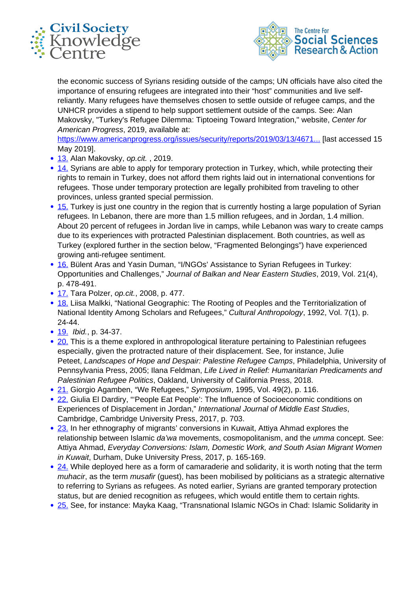



the economic success of Syrians residing outside of the camps; UN officials have also cited the importance of ensuring refugees are integrated into their "host" communities and live selfreliantly. Many refugees have themselves chosen to settle outside of refugee camps, and the UNHCR provides a stipend to help support settlement outside of the camps. See: Alan Makovsky, "Turkey's Refugee Dilemma: Tiptoeing Toward Integration," website, Center for American Progress, 2019, available at:

[https://www.americanprogress.org/issues/security/reports/2019/03/13/4671...](https://www.americanprogress.org/issues/security/reports/2019/03/13/467183/turkeys-refugee-dilemma) [last accessed 15 May 2019].

- 13. Alan Makovsky, op.cit., 2019.
- 14. Syrians are able to apply for temporary protection in Turkey, which, while protecting their rights to remain in Turkey, does not afford them rights laid out in international conventions for refugees. Those under temporary protection are legally prohibited from traveling to other provinces, unless granted special permission.
- 15. Turkey is just one country in the region that is currently hosting a large population of Syrian refugees. In Lebanon, there are more than 1.5 million refugees, and in Jordan, 1.4 million. About 20 percent of refugees in Jordan live in camps, while Lebanon was wary to create camps due to its experiences with protracted Palestinian displacement. Both countries, as well as Turkey (explored further in the section below, "Fragmented Belongings") have experienced growing anti-refugee sentiment.
- 16. Bülent Aras and Yasin Duman, "I/NGOs' Assistance to Syrian Refugees in Turkey: Opportunities and Challenges," Journal of Balkan and Near Eastern Studies, 2019, Vol. 21(4), p. 478-491.
- 17. Tara Polzer, op.cit., 2008, p. 477.
- 18. Liisa Malkki, "National Geographic: The Rooting of Peoples and the Territorialization of National Identity Among Scholars and Refugees," Cultural Anthropology, 1992, Vol. 7(1), p. 24-44.
- 19. *Ibid.*, p. 34-37.
- 20. This is a theme explored in anthropological literature pertaining to Palestinian refugees especially, given the protracted nature of their displacement. See, for instance, Julie Peteet, Landscapes of Hope and Despair: Palestine Refugee Camps, Philadelphia, University of Pennsylvania Press, 2005; Ilana Feldman, Life Lived in Relief: Humanitarian Predicaments and Palestinian Refugee Politics, Oakland, University of California Press, 2018.
- 21. Giorgio Agamben, "We Refugees," Symposium, 1995, Vol. 49(2), p. 116.
- 22. Giulia El Dardiry, "'People Eat People': The Influence of Socioeconomic conditions on Experiences of Displacement in Jordan," International Journal of Middle East Studies, Cambridge, Cambridge University Press, 2017, p. 703.
- 23. In her ethnography of migrants' conversions in Kuwait, Attiya Ahmad explores the relationship between Islamic da'wa movements, cosmopolitanism, and the *umma* concept. See: Attiya Ahmad, Everyday Conversions: Islam, Domestic Work, and South Asian Migrant Women in Kuwait, Durham, Duke University Press, 2017, p. 165-169.
- $\cdot$  24. While deployed here as a form of camaraderie and solidarity, it is worth noting that the term muhacir, as the term *musafir* (guest), has been mobilised by politicians as a strategic alternative to referring to Syrians as refugees. As noted earlier, Syrians are granted temporary protection status, but are denied recognition as refugees, which would entitle them to certain rights.
- 25. See, for instance: Mayka Kaag, "Transnational Islamic NGOs in Chad: Islamic Solidarity in